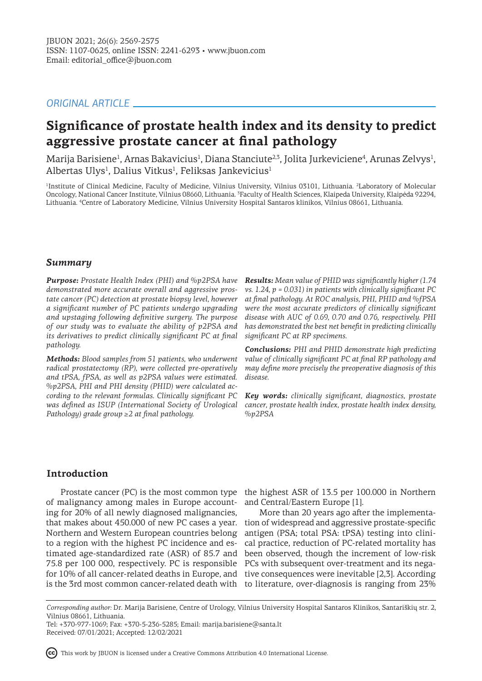# *ORIGINAL ARTICLE*

# **Significance of prostate health index and its density to predict aggressive prostate cancer at final pathology**

Marija Barisiene<sup>1</sup>, Arnas Bakavicius<sup>1</sup>, Diana Stanciute<sup>2,3</sup>, Jolita Jurkeviciene<sup>4</sup>, Arunas Zelvys<sup>1</sup>, Albertas Ulys<sup>1</sup>, Dalius Vitkus<sup>1</sup>, Feliksas Jankevicius<sup>1</sup>

<sup>1</sup>Institute of Clinical Medicine, Faculty of Medicine, Vilnius University, Vilnius 03101, Lithuania. <sup>2</sup>Laboratory of Molecular Oncology, National Cancer Institute, Vilnius 08660, Lithuania. <sup>3</sup> Faculty of Health Sciences, Klaipeda University, Klaipėda 92294, Lithuania. <sup>4</sup> Centre of Laboratory Medicine, Vilnius University Hospital Santaros klinikos, Vilnius 08661, Lithuania.

## *Summary*

*Purpose: Prostate Health Index (PHI) and %p2PSA have demonstrated more accurate overall and aggressive prostate cancer (PC) detection at prostate biopsy level, however a significant number of PC patients undergo upgrading and upstaging following definitive surgery. The purpose of our study was to evaluate the ability of p2PSA and its derivatives to predict clinically significant PC at final pathology.* 

*Methods: Blood samples from 51 patients, who underwent radical prostatectomy (RP), were collected pre-operatively and tPSA, fPSA, as well as p2PSA values were estimated. %p2PSA, PHI and PHI density (PHID) were calculated according to the relevant formulas. Clinically significant PC was defined as ISUP (International Society of Urological Pathology) grade group ≥2 at final pathology.*

*Results: Mean value of PHID was significantly higher (1.74 vs. 1.24, p = 0.031) in patients with clinically significant PC at final pathology. At ROC analysis, PHI, PHID and %fPSA were the most accurate predictors of clinically significant disease with AUC of 0.69, 0.70 and 0.76, respectively. PHI has demonstrated the best net benefit in predicting clinically significant PC at RP specimens.* 

*Conclusions: PHI and PHID demonstrate high predicting value of clinically significant PC at final RP pathology and may define more precisely the preoperative diagnosis of this disease.*

*Key words: clinically significant, diagnostics, prostate cancer, prostate health index, prostate health index density, %p2PSA*

# **Introduction**

of malignancy among males in Europe accounting for 20% of all newly diagnosed malignancies, that makes about 450.000 of new PC cases a year. Northern and Western European countries belong to a region with the highest PC incidence and estimated age-standardized rate (ASR) of 85.7 and 75.8 per 100 000, respectively. PC is responsible for 10% of all cancer-related deaths in Europe, and

Prostate cancer (PC) is the most common type the highest ASR of 13.5 per 100.000 in Northern and Central/Eastern Europe [1].

is the 3rd most common cancer-related death with to literature, over-diagnosis is ranging from 23% More than 20 years ago after the implementation of widespread and aggressive prostate-specific antigen (PSA; total PSA: tPSA) testing into clinical practice, reduction of PC-related mortality has been observed, though the increment of low-risk PCs with subsequent over-treatment and its negative consequences were inevitable [2,3]. According

This work by JBUON is licensed under a Creative Commons Attribution 4.0 International License.

*Corresponding author:* Dr. Marija Barisiene, Centre of Urology, Vilnius University Hospital Santaros Klinikos, Santariškių str. 2, Vilnius 08661, Lithuania.

Tel: +370-977-1069; Fax: +370-5-236-5285; Email: marija.barisiene@santa.lt Received: 07/01/2021; Accepted: 12/02/2021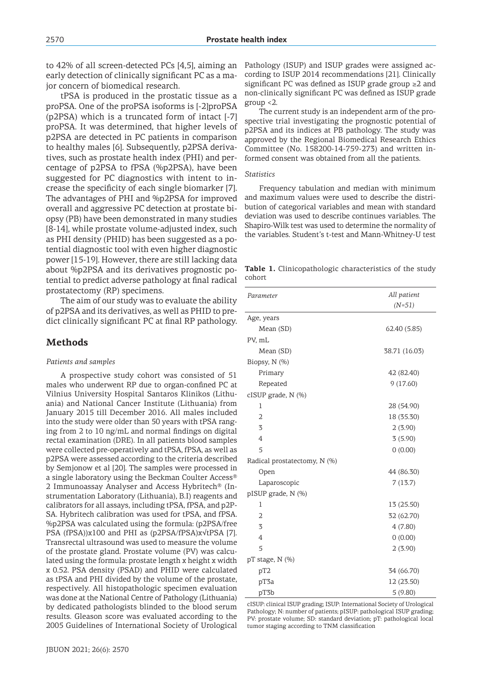to 42% of all screen-detected PCs [4,5], aiming an early detection of clinically significant PC as a major concern of biomedical research.

tPSA is produced in the prostatic tissue as a proPSA. One of the proPSA isoforms is [-2]proPSA (p2PSA) which is a truncated form of intact [-7] proPSA. It was determined, that higher levels of p2PSA are detected in PC patients in comparison to healthy males [6]. Subsequently, p2PSA derivatives, such as prostate health index (PHI) and percentage of p2PSA to fPSA (%p2PSA), have been suggested for PC diagnostics with intent to increase the specificity of each single biomarker [7]. The advantages of PHI and %p2PSA for improved overall and aggressive PC detection at prostate biopsy (PB) have been demonstrated in many studies [8-14], while prostate volume-adjusted index, such as PHI density (PHID) has been suggested as a potential diagnostic tool with even higher diagnostic power [15-19]. However, there are still lacking data about %p2PSA and its derivatives prognostic potential to predict adverse pathology at final radical prostatectomy (RP) specimens.

The aim of our study was to evaluate the ability of p2PSA and its derivatives, as well as PHID to predict clinically significant PC at final RP pathology.

#### **Methods**

#### *Patients and samples*

A prospective study cohort was consisted of 51 males who underwent RP due to organ-confined PC at Vilnius University Hospital Santaros Klinikos (Lithuania) and National Cancer Institute (Lithuania) from January 2015 till December 2016. All males included into the study were older than 50 years with tPSA ranging from 2 to 10 ng/mL and normal findings on digital rectal examination (DRE). In all patients blood samples were collected pre-operatively and tPSA, fPSA, as well as p2PSA were assessed according to the criteria described by Semjonow et al [20]. The samples were processed in a single laboratory using the Beckman Coulter Access® 2 Immunoassay Analyser and Access Hybritech® (Instrumentation Laboratory (Lithuania), B.I) reagents and calibrators for all assays, including tPSA, fPSA, and p2P-SA. Hybritech calibration was used for tPSA, and fPSA. %p2PSA was calculated using the formula: (p2PSA/free PSA (fPSA))x100 and PHI as (p2PSA/fPSA)x√tPSA [7]. Transrectal ultrasound was used to measure the volume of the prostate gland. Prostate volume (PV) was calculated using the formula: prostate length x height x width x 0.52. PSA density (PSAD) and PHID were calculated as tPSA and PHI divided by the volume of the prostate, respectively. All histopathologic specimen evaluation was done at the National Centre of Pathology (Lithuania) by dedicated pathologists blinded to the blood serum results. Gleason score was evaluated according to the 2005 Guidelines of International Society of Urological Pathology (ISUP) and ISUP grades were assigned according to ISUP 2014 recommendations [21]. Clinically significant PC was defined as ISUP grade group ≥2 and non-clinically significant PC was defined as ISUP grade group <2.

The current study is an independent arm of the prospective trial investigating the prognostic potential of p2PSA and its indices at PB pathology. The study was approved by the Regional Biomedical Research Ethics Committee (No. 158200-14-759-273) and written informed consent was obtained from all the patients.

#### *Statistics*

Frequency tabulation and median with minimum and maximum values were used to describe the distribution of categorical variables and mean with standard deviation was used to describe continues variables. The Shapiro-Wilk test was used to determine the normality of the variables. Student's t-test and Mann-Whitney-U test

**Table 1.** Clinicopathologic characteristics of the study cohort

| Parameter                    | All patient<br>$(N=51)$ |  |  |
|------------------------------|-------------------------|--|--|
|                              |                         |  |  |
| Age, years                   |                         |  |  |
| Mean (SD)                    | 62.40 (5.85)            |  |  |
| PV, mL                       |                         |  |  |
| Mean (SD)                    | 38.71 (16.03)           |  |  |
| Biopsy, N (%)                |                         |  |  |
| Primary                      | 42 (82.40)              |  |  |
| Repeated                     | 9(17.60)                |  |  |
| $cISUP$ grade, $N$ (%)       |                         |  |  |
| 1                            | 28 (54.90)              |  |  |
| $\overline{2}$               | 18 (35.30)              |  |  |
| 3                            | 2(3.90)                 |  |  |
| 4                            | 3(5.90)                 |  |  |
| 5                            | 0(0.00)                 |  |  |
| Radical prostatectomy, N (%) |                         |  |  |
| Open                         | 44 (86.30)              |  |  |
| Laparoscopic                 | 7(13.7)                 |  |  |
| pISUP grade, N (%)           |                         |  |  |
| 1                            | 13 (25.50)              |  |  |
| $\overline{2}$               | 32 (62.70)              |  |  |
| 3                            | 4(7.80)                 |  |  |
| $\overline{4}$               | 0(0.00)                 |  |  |
| 5                            | 2(3.90)                 |  |  |
| pT stage, N (%)              |                         |  |  |
| pT <sub>2</sub>              | 34 (66.70)              |  |  |
| pT3a                         | 12 (23.50)              |  |  |
| pT3b                         | 5(9.80)                 |  |  |

cISUP: clinical ISUP grading; ISUP: International Society of Urological Pathology; N: number of patients; pISUP: pathological ISUP grading; PV: prostate volume; SD: standard deviation; pT: pathological local tumor staging according to TNM classification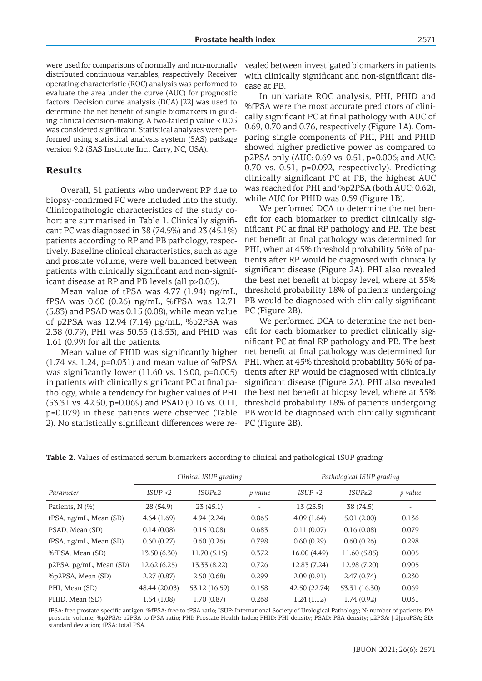were used for comparisons of normally and non-normally distributed continuous variables, respectively. Receiver operating characteristic (ROC) analysis was performed to evaluate the area under the curve (AUC) for prognostic factors. Decision curve analysis (DCA) [22] was used to determine the net benefit of single biomarkers in guiding clinical decision-making. A two-tailed p value < 0.05 was considered significant. Statistical analyses were performed using statistical analysis system (SAS) package version 9.2 (SAS Institute Inc., Carry, NC, USA).

#### **Results**

Overall, 51 patients who underwent RP due to biopsy-confirmed PC were included into the study. Clinicopathologic characteristics of the study cohort are summarised in Table 1. Clinically significant PC was diagnosed in 38 (74.5%) and 23 (45.1%) patients according to RP and PB pathology, respectively. Baseline clinical characteristics, such as age and prostate volume, were well balanced between patients with clinically significant and non-significant disease at RP and PB levels (all p>0.05).

Mean value of tPSA was 4.77 (1.94) ng/mL, fPSA was 0.60 (0.26) ng/mL, %fPSA was 12.71 (5.83) and PSAD was 0.15 (0.08), while mean value of p2PSA was 12.94 (7.14) pg/mL, %p2PSA was 2.38 (0.79), PHI was 50.55 (18.53), and PHID was 1.61 (0.99) for all the patients.

Mean value of PHID was significantly higher  $(1.74 \text{ vs. } 1.24, \text{ p=0.031})$  and mean value of %fPSA was significantly lower (11.60 vs. 16.00, p=0.005) in patients with clinically significant PC at final pathology, while a tendency for higher values of PHI (53.31 vs. 42.50, p=0.069) and PSAD (0.16 vs. 0.11, p=0.079) in these patients were observed (Table 2). No statistically significant differences were re-PC (Figure 2B).

vealed between investigated biomarkers in patients with clinically significant and non-significant disease at PB.

In univariate ROC analysis, PHI, PHID and %fPSA were the most accurate predictors of clinically significant PC at final pathology with AUC of 0.69, 0.70 and 0.76, respectively (Figure 1A). Comparing single components of PHI, PHI and PHID showed higher predictive power as compared to p2PSA only (AUC: 0.69 vs. 0.51, p=0.006; and AUC: 0.70 vs. 0.51, p=0.092, respectively). Predicting clinically significant PC at PB, the highest AUC was reached for PHI and %p2PSA (both AUC: 0.62), while AUC for PHID was 0.59 (Figure 1B).

We performed DCA to determine the net benefit for each biomarker to predict clinically significant PC at final RP pathology and PB. The best net benefit at final pathology was determined for PHI, when at 45% threshold probability 56% of patients after RP would be diagnosed with clinically significant disease (Figure 2A). PHI also revealed the best net benefit at biopsy level, where at 35% threshold probability 18% of patients undergoing PB would be diagnosed with clinically significant PC (Figure 2B).

We performed DCA to determine the net benefit for each biomarker to predict clinically significant PC at final RP pathology and PB. The best net benefit at final pathology was determined for PHI, when at 45% threshold probability 56% of patients after RP would be diagnosed with clinically significant disease (Figure 2A). PHI also revealed the best net benefit at biopsy level, where at 35% threshold probability 18% of patients undergoing PB would be diagnosed with clinically significant

**Table 2.** Values of estimated serum biomarkers according to clinical and pathological ISUP grading

|                         | Clinical ISUP grading |               |         | Pathological ISUP grading |                   |         |
|-------------------------|-----------------------|---------------|---------|---------------------------|-------------------|---------|
| Parameter               | ISUP < 2              | $ISUP \geq 2$ | p value | ISUP < 2                  | ISUP <sub>2</sub> | p value |
| Patients, N (%)         | 28 (54.9)             | 23(45.1)      |         | 13(25.5)                  | 38 (74.5)         |         |
| tPSA, ng/mL, Mean (SD)  | 4.64(1.69)            | 4.94(2.24)    | 0.865   | 4.09(1.64)                | 5.01(2.00)        | 0.136   |
| PSAD, Mean (SD)         | 0.14(0.08)            | 0.15(0.08)    | 0.683   | 0.11(0.07)                | 0.16(0.08)        | 0.079   |
| fPSA, ng/mL, Mean (SD)  | 0.60(0.27)            | 0.60(0.26)    | 0.798   | 0.60(0.29)                | 0.60(0.26)        | 0.298   |
| %fPSA, Mean (SD)        | 13.50 (6.30)          | 11.70 (5.15)  | 0.372   | 16.00 (4.49)              | 11.60 (5.85)      | 0.005   |
| p2PSA, pg/mL, Mean (SD) | 12.62(6.25)           | 13.33 (8.22)  | 0.726   | 12.83 (7.24)              | 12.98 (7.20)      | 0.905   |
| %p2PSA, Mean (SD)       | 2.27(0.87)            | 2.50(0.68)    | 0.299   | 2.09(0.91)                | 2.47(0.74)        | 0.230   |
| PHI, Mean (SD)          | 48.44 (20.03)         | 53.12 (16.59) | 0.158   | 42.50 (22.74)             | 53.31 (16.30)     | 0.069   |
| PHID, Mean (SD)         | 1.54(1.08)            | 1.70(0.87)    | 0.268   | 1.24(1.12)                | 1.74(0.92)        | 0.031   |

fPSA: free prostate specific antigen; %fPSA: free to tPSA ratio; ISUP: International Society of Urological Pathology; N: number of patients; PV: prostate volume; %p2PSA: p2PSA to fPSA ratio; PHI: Prostate Health Index; PHID: PHI density; PSAD: PSA density; p2PSA: [-2]proPSA; SD: standard deviation; tPSA: total PSA.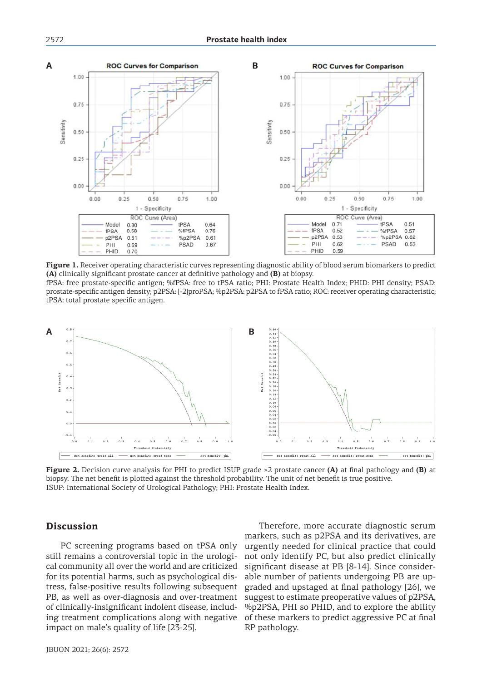

**Figure 1.** Receiver operating characteristic curves representing diagnostic ability of blood serum biomarkers to predict **(A)** clinically significant prostate cancer at definitive pathology and **(B)** at biopsy.

fPSA: free prostate-specific antigen; %fPSA: free to tPSA ratio; PHI: Prostate Health Index; PHID: PHI density; PSAD: prostate-specific antigen density; p2PSA: [-2]proPSA; %p2PSA: p2PSA to fPSA ratio; ROC: receiver operating characteristic; tPSA: total prostate specific antigen.



**Figure 2.** Decision curve analysis for PHI to predict ISUP grade ≥2 prostate cancer **(A)** at final pathology and **(B)** at biopsy. The net benefit is plotted against the threshold probability. The unit of net benefit is true positive. ISUP: International Society of Urological Pathology; PHI: Prostate Health Index.

#### **Discussion**

PC screening programs based on tPSA only still remains a controversial topic in the urological community all over the world and are criticized for its potential harms, such as psychological distress, false-positive results following subsequent PB, as well as over-diagnosis and over-treatment of clinically-insignificant indolent disease, including treatment complications along with negative impact on male's quality of life [23-25].

Therefore, more accurate diagnostic serum markers, such as p2PSA and its derivatives, are urgently needed for clinical practice that could not only identify PC, but also predict clinically significant disease at PB [8-14]. Since considerable number of patients undergoing PB are upgraded and upstaged at final pathology [26], we suggest to estimate preoperative values of p2PSA, %p2PSA, PHI so PHID, and to explore the ability of these markers to predict aggressive PC at final RP pathology.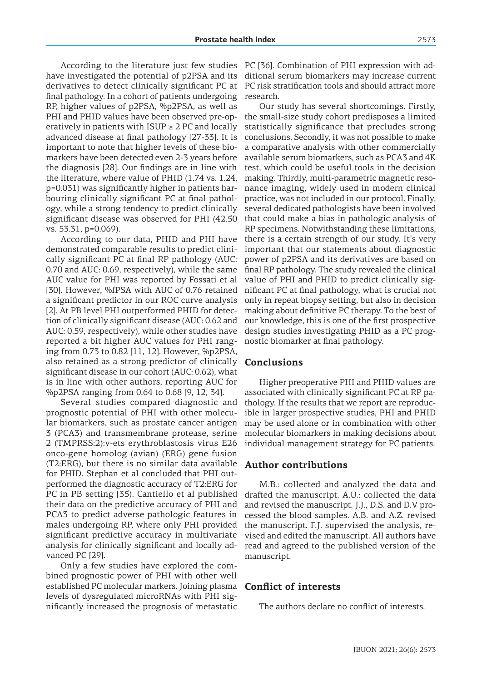have investigated the potential of p2PSA and its derivatives to detect clinically significant PC at final pathology. In a cohort of patients undergoing RP, higher values of p2PSA, %p2PSA, as well as PHI and PHID values have been observed pre-operatively in patients with  $ISUP \geq 2$  PC and locally advanced disease at final pathology [27-33]. It is important to note that higher levels of these biomarkers have been detected even 2-3 years before the diagnosis [28]. Our findings are in line with the literature, where value of PHID (1.74 vs. 1.24, p=0.031) was significantly higher in patients harbouring clinically significant PC at final pathology, while a strong tendency to predict clinically significant disease was observed for PHI (42.50 vs. 53.31, p=0.069).

According to our data, PHID and PHI have demonstrated comparable results to predict clinically significant PC at final RP pathology (AUC: 0.70 and AUC: 0.69, respectively), while the same AUC value for PHI was reported by Fossati et al [30]. However, %fPSA with AUC of 0.76 retained a significant predictor in our ROC curve analysis [2]. At PB level PHI outperformed PHID for detection of clinically significant disease (AUC: 0.62 and AUC: 0.59, respectively), while other studies have reported a bit higher AUC values for PHI ranging from 0.73 to 0.82 [11, 12]. However, %p2PSA, also retained as a strong predictor of clinically significant disease in our cohort (AUC: 0.62), what is in line with other authors, reporting AUC for %p2PSA ranging from 0.64 to 0.68 [9, 12, 34].

Several studies compared diagnostic and prognostic potential of PHI with other molecular biomarkers, such as prostate cancer antigen 3 (PCA3) and transmembrane protease, serine 2 (TMPRSS:2):v-ets erythroblastosis virus E26 onco-gene homolog (avian) (ERG) gene fusion (T2:ERG), but there is no similar data available for PHID. Stephan et al concluded that PHI outperformed the diagnostic accuracy of T2:ERG for PC in PB setting [35). Cantiello et al published their data on the predictive accuracy of PHI and PCA3 to predict adverse pathologic features in males undergoing RP, where only PHI provided significant predictive accuracy in multivariate analysis for clinically significant and locally advanced PC [29].

Only a few studies have explored the combined prognostic power of PHI with other well established PC molecular markers. Joining plasma levels of dysregulated microRNAs with PHI significantly increased the prognosis of metastatic

According to the literature just few studies PC [36]. Combination of PHI expression with additional serum biomarkers may increase current PC risk stratification tools and should attract more research.

> Our study has several shortcomings. Firstly, the small-size study cohort predisposes a limited statistically significance that precludes strong conclusions. Secondly, it was not possible to make a comparative analysis with other commercially available serum biomarkers, such as PCA3 and 4K test, which could be useful tools in the decision making. Thirdly, multi-parametric magnetic resonance imaging, widely used in modern clinical practice, was not included in our protocol. Finally, several dedicated pathologists have been involved that could make a bias in pathologic analysis of RP specimens. Notwithstanding these limitations, there is a certain strength of our study. It's very important that our statements about diagnostic power of p2PSA and its derivatives are based on final RP pathology. The study revealed the clinical value of PHI and PHID to predict clinically significant PC at final pathology, what is crucial not only in repeat biopsy setting, but also in decision making about definitive PC therapy. To the best of our knowledge, this is one of the first prospective design studies investigating PHID as a PC prognostic biomarker at final pathology.

## **Conclusions**

Higher preoperative PHI and PHID values are associated with clinically significant PC at RP pathology. If the results that we report are reproducible in larger prospective studies, PHI and PHID may be used alone or in combination with other molecular biomarkers in making decisions about individual management strategy for PC patients.

#### **Author contributions**

M.B.: collected and analyzed the data and drafted the manuscript. A.U.: collected the data and revised the manuscript. J.J., D.S. and D.V processed the blood samples. A.B. and A.Z. revised the manuscript. F.J. supervised the analysis, revised and edited the manuscript. All authors have read and agreed to the published version of the manuscript.

## **Conflict of interests**

The authors declare no conflict of interests.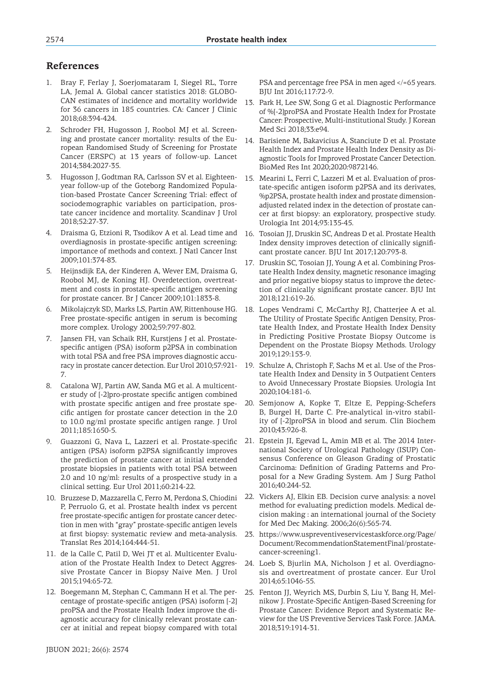# **References**

- 1. Bray F, Ferlay J, Soerjomataram I, Siegel RL, Torre LA, Jemal A. Global cancer statistics 2018: GLOBO-CAN estimates of incidence and mortality worldwide for 36 cancers in 185 countries. CA: Cancer J Clinic 2018;68:394-424.
- 2. Schroder FH, Hugosson J, Roobol MJ et al. Screening and prostate cancer mortality: results of the European Randomised Study of Screening for Prostate Cancer (ERSPC) at 13 years of follow-up. Lancet 2014;384:2027-35.
- 3. Hugosson J, Godtman RA, Carlsson SV et al. Eighteenyear follow-up of the Goteborg Randomized Population-based Prostate Cancer Screening Trial: effect of sociodemographic variables on participation, prostate cancer incidence and mortality. Scandinav J Urol 2018;52:27-37.
- 4. Draisma G, Etzioni R, Tsodikov A et al. Lead time and overdiagnosis in prostate-specific antigen screening: importance of methods and context. J Natl Cancer Inst 2009;101:374-83.
- 5. Heijnsdijk EA, der Kinderen A, Wever EM, Draisma G, Roobol MJ, de Koning HJ. Overdetection, overtreatment and costs in prostate-specific antigen screening for prostate cancer. Br J Cancer 2009;101:1833-8.
- 6. Mikolajczyk SD, Marks LS, Partin AW, Rittenhouse HG. Free prostate-specific antigen in serum is becoming more complex. Urology 2002;59:797-802.
- 7. Jansen FH, van Schaik RH, Kurstjens J et al. Prostatespecific antigen (PSA) isoform p2PSA in combination with total PSA and free PSA improves diagnostic accuracy in prostate cancer detection. Eur Urol 2010;57:921- 7.
- 8. Catalona WJ, Partin AW, Sanda MG et al. A multicenter study of [-2]pro-prostate specific antigen combined with prostate specific antigen and free prostate specific antigen for prostate cancer detection in the 2.0 to 10.0 ng/ml prostate specific antigen range. J Urol 2011;185:1650-5.
- 9. Guazzoni G, Nava L, Lazzeri et al. Prostate-specific antigen (PSA) isoform p2PSA significantly improves the prediction of prostate cancer at initial extended prostate biopsies in patients with total PSA between 2.0 and 10 ng/ml: results of a prospective study in a clinical setting. Eur Urol 2011;60:214-22.
- 10. Bruzzese D, Mazzarella C, Ferro M, Perdona S, Chiodini P, Perruolo G, et al. Prostate health index vs percent free prostate-specific antigen for prostate cancer detection in men with "gray" prostate-specific antigen levels at first biopsy: systematic review and meta-analysis. Translat Res 2014;164:444-51.
- 11. de la Calle C, Patil D, Wei JT et al. Multicenter Evaluation of the Prostate Health Index to Detect Aggressive Prostate Cancer in Biopsy Naive Men. J Urol 2015;194:65-72.
- 12. Boegemann M, Stephan C, Cammann H et al. The percentage of prostate-specific antigen (PSA) isoform [-2] proPSA and the Prostate Health Index improve the diagnostic accuracy for clinically relevant prostate cancer at initial and repeat biopsy compared with total
- 13. Park H, Lee SW, Song G et al. Diagnostic Performance of %[-2]proPSA and Prostate Health Index for Prostate Cancer: Prospective, Multi-institutional Study. J Korean Med Sci 2018;33:e94.
- 14. Barisiene M, Bakavicius A, Stanciute D et al. Prostate Health Index and Prostate Health Index Density as Diagnostic Tools for Improved Prostate Cancer Detection. BioMed Res Int 2020;2020:9872146.
- 15. Mearini L, Ferri C, Lazzeri M et al. Evaluation of prostate-specific antigen isoform p2PSA and its derivates, %p2PSA, prostate health index and prostate dimensionadjusted related index in the detection of prostate cancer at first biopsy: an exploratory, prospective study. Urologia Int 2014;93:135-45.
- 16. Tosoian JJ, Druskin SC, Andreas D et al. Prostate Health Index density improves detection of clinically significant prostate cancer. BJU Int 2017;120:793-8.
- 17. Druskin SC, Tosoian JJ, Young A et al. Combining Prostate Health Index density, magnetic resonance imaging and prior negative biopsy status to improve the detection of clinically significant prostate cancer. BJU Int 2018;121:619-26.
- 18. Lopes Vendrami C, McCarthy RJ, Chatterjee A et al. The Utility of Prostate Specific Antigen Density, Prostate Health Index, and Prostate Health Index Density in Predicting Positive Prostate Biopsy Outcome is Dependent on the Prostate Biopsy Methods. Urology 2019;129:153-9.
- 19. Schulze A, Christoph F, Sachs M et al. Use of the Prostate Health Index and Density in 3 Outpatient Centers to Avoid Unnecessary Prostate Biopsies. Urologia Int 2020;104:181-6.
- 20. Semjonow A, Kopke T, Eltze E, Pepping-Schefers B, Burgel H, Darte C. Pre-analytical in-vitro stability of [-2]proPSA in blood and serum. Clin Biochem 2010;43:926-8.
- 21. Epstein JI, Egevad L, Amin MB et al. The 2014 International Society of Urological Pathology (ISUP) Consensus Conference on Gleason Grading of Prostatic Carcinoma: Definition of Grading Patterns and Proposal for a New Grading System. Am J Surg Pathol 2016;40:244-52.
- 22. Vickers AJ, Elkin EB. Decision curve analysis: a novel method for evaluating prediction models. Medical decision making : an international journal of the Society for Med Dec Making. 2006;26(6):565-74.
- 23. https://www.uspreventiveservicestaskforce.org/Page/ Document/RecommendationStatementFinal/prostatecancer-screening1.
- 24. Loeb S, Bjurlin MA, Nicholson J et al. Overdiagnosis and overtreatment of prostate cancer. Eur Urol 2014;65:1046-55.
- 25. Fenton JJ, Weyrich MS, Durbin S, Liu Y, Bang H, Melnikow J. Prostate-Specific Antigen-Based Screening for Prostate Cancer: Evidence Report and Systematic Review for the US Preventive Services Task Force. JAMA. 2018;319:1914-31.